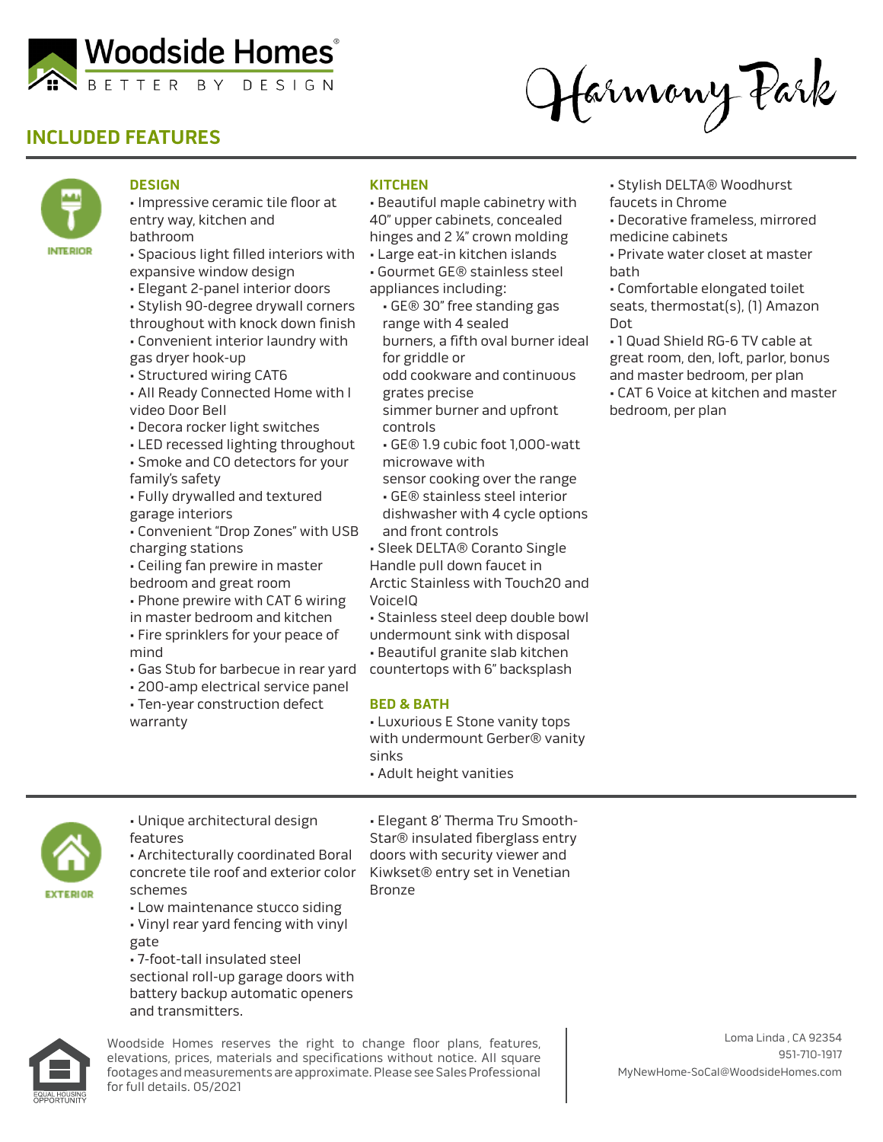

# **INCLUDED FEATURES**



faucets in Chrome

medicine cabinets

bedroom, per plan

bath

Dot

• Stylish DELTA® Woodhurst

• Decorative frameless, mirrored

• Private water closet at master

• Comfortable elongated toilet seats, thermostat(s), (1) Amazon

• 1 Quad Shield RG-6 TV cable at great room, den, loft, parlor, bonus and master bedroom, per plan • CAT 6 Voice at kitchen and master



### **DESIGN**

- Impressive ceramic tile floor at entry way, kitchen and bathroom
- Spacious light filled interiors with expansive window design
- Elegant 2-panel interior doors
- Stylish 90-degree drywall corners throughout with knock down finish
- Convenient interior laundry with gas dryer hook-up
- Structured wiring CAT6
- All Ready Connected Home with l video Door Bell
- Decora rocker light switches
- LED recessed lighting throughout • Smoke and CO detectors for your family's safety
- Fully drywalled and textured garage interiors
- Convenient "Drop Zones" with USB charging stations
- Ceiling fan prewire in master bedroom and great room
- Phone prewire with CAT 6 wiring in master bedroom and kitchen
- Fire sprinklers for your peace of
- mind
- Gas Stub for barbecue in rear yard • 200-amp electrical service panel
- Ten-year construction defect
- warranty

## **KITCHEN**

- Beautiful maple cabinetry with 40" upper cabinets, concealed hinges and 2 ¼" crown molding
- Large eat-in kitchen islands
- Gourmet GE® stainless steel appliances including:
- GE® 30" free standing gas range with 4 sealed burners, a fifth oval burner ideal
- for griddle or odd cookware and continuous
- grates precise
- simmer burner and upfront controls
- GE® 1.9 cubic foot 1,000-watt microwave with
- sensor cooking over the range • GE® stainless steel interior dishwasher with 4 cycle options and front controls
- Sleek DELTA® Coranto Single
- Handle pull down faucet in
- Arctic Stainless with Touch20 and VoiceIQ
- Stainless steel deep double bowl
- undermount sink with disposal
- Beautiful granite slab kitchen
- countertops with 6" backsplash

#### **BED & BATH**

• Luxurious E Stone vanity tops with undermount Gerber® vanity sinks

• Adult height vanities

**EXTERIOR** 

- Unique architectural design features
	- Architecturally coordinated Boral concrete tile roof and exterior color schemes
- Low maintenance stucco siding • Vinyl rear yard fencing with vinyl
- gate
- 7-foot-tall insulated steel

sectional roll-up garage doors with battery backup automatic openers and transmitters.

• Elegant 8' Therma Tru Smooth-Star® insulated fiberglass entry doors with security viewer and Kiwkset® entry set in Venetian Bronze

Woodside Homes reserves the right to change floor plans, features, elevations, prices, materials and specifications without notice. All square footages and measurements are approximate. Please see Sales Professional for full details. 05/2021